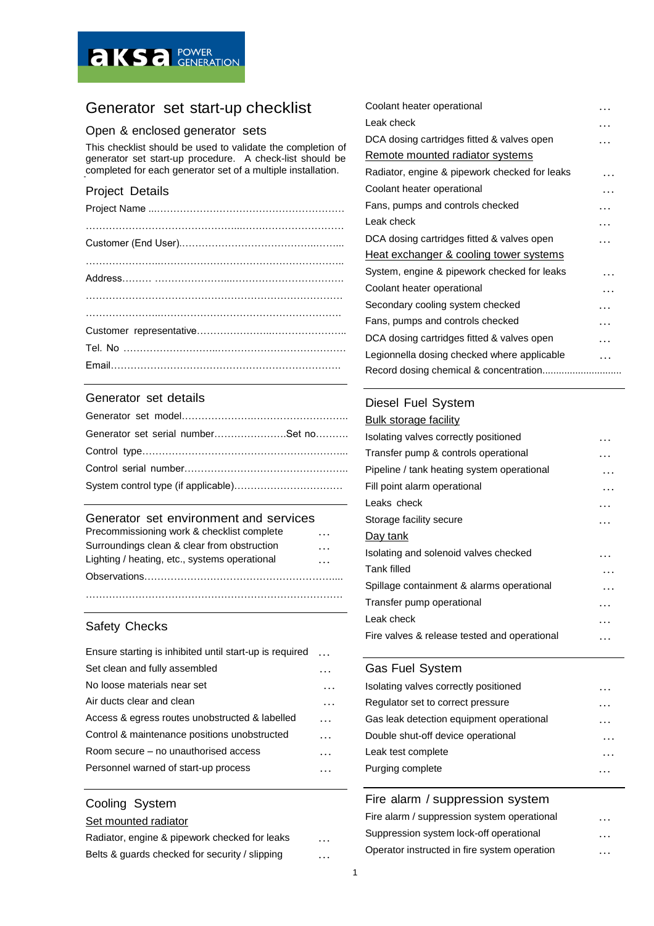

# Generator set start-up checklist

# Open & enclosed generator sets

This checklist should be used to validate the completion of generator set start-up procedure. A check-list should be completed for each generator set of a multiple installation.

# Project Details

### Generator set details

| Generator set serial numberSet no |
|-----------------------------------|
|                                   |
|                                   |
|                                   |

#### Generator set environment and services

| Precommissioning work & checklist complete    | . |
|-----------------------------------------------|---|
| Surroundings clean & clear from obstruction   | . |
| Lighting / heating, etc., systems operational | . |
|                                               |   |

……………………………………………………………………

### Safety Checks

| Ensure starting is inhibited until start-up is required | $\ddotsc$ |
|---------------------------------------------------------|-----------|
| Set clean and fully assembled                           |           |
| No loose materials near set                             |           |
| Air ducts clear and clean                               |           |
| Access & egress routes unobstructed & labelled          | .         |
| Control & maintenance positions unobstructed            |           |
| Room secure – no unauthorised access                    |           |
| Personnel warned of start-up process                    |           |

# Cooling System Set mounted radiator

| Radiator, engine & pipework checked for leaks  | . |
|------------------------------------------------|---|
| Belts & quards checked for security / slipping | . |

| Coolant heater operational                    | . |
|-----------------------------------------------|---|
| Leak check                                    |   |
| DCA dosing cartridges fitted & valves open    |   |
| Remote mounted radiator systems               |   |
| Radiator, engine & pipework checked for leaks |   |
| Coolant heater operational                    |   |
| Fans, pumps and controls checked              |   |
| Leak check                                    | . |
| DCA dosing cartridges fitted & valves open    |   |
| Heat exchanger & cooling tower systems        |   |
| System, engine & pipework checked for leaks   |   |
| Coolant heater operational                    |   |
| Secondary cooling system checked              |   |
| Fans, pumps and controls checked              | . |
| DCA dosing cartridges fitted & valves open    |   |
| Legionnella dosing checked where applicable   |   |
|                                               |   |

### Diesel Fuel System

| Bulk storage facility                        |   |
|----------------------------------------------|---|
| Isolating valves correctly positioned        | . |
| Transfer pump & controls operational         | . |
| Pipeline / tank heating system operational   |   |
| Fill point alarm operational                 |   |
| Leaks check                                  |   |
| Storage facility secure                      |   |
| Day tank                                     |   |
| Isolating and solenoid valves checked        | . |
| <b>Tank filled</b>                           |   |
| Spillage containment & alarms operational    |   |
| Transfer pump operational                    |   |
| Leak check                                   | . |
| Fire valves & release tested and operational |   |

### Gas Fuel System

| Isolating valves correctly positioned    |  |
|------------------------------------------|--|
| Regulator set to correct pressure        |  |
| Gas leak detection equipment operational |  |
| Double shut-off device operational       |  |
| Leak test complete                       |  |
| Purging complete                         |  |
|                                          |  |

### Fire alarm / suppression system

| Fire alarm / suppression system operational  | $\cdot\cdot\cdot$ |
|----------------------------------------------|-------------------|
| Suppression system lock-off operational      | $\cdots$          |
| Operator instructed in fire system operation | $\ddotsc$         |